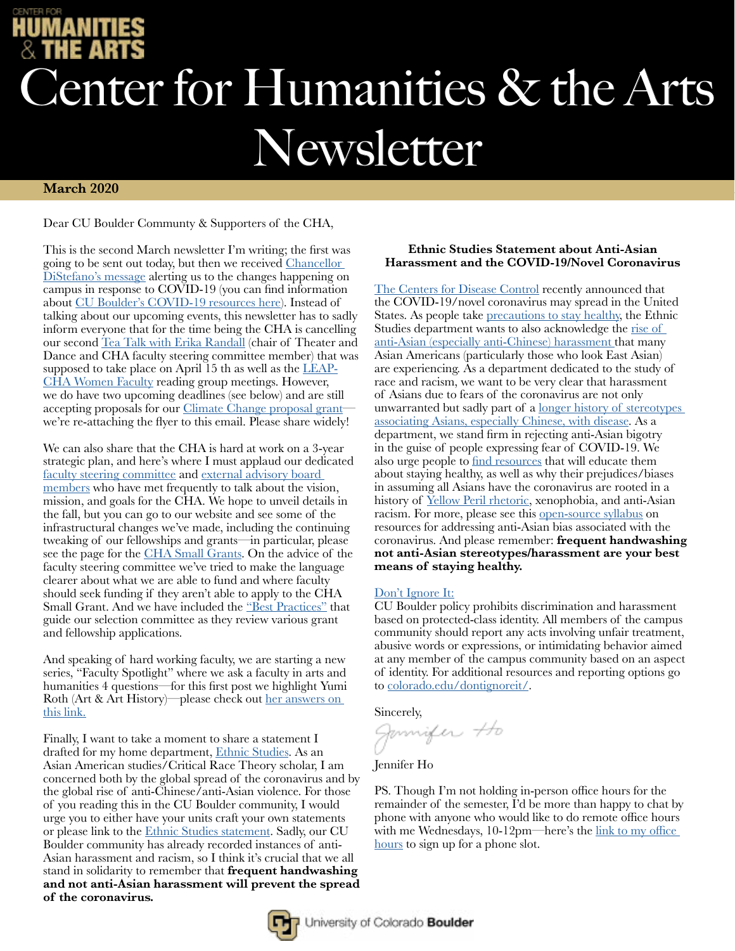# enter for Humanities & the Arts Newsletter

### **March 2020**

Dear CU Boulder Communty & Supporters of the CHA,

This is the second March newsletter I'm writing; the first was going to be sent out today, but then we received Chancellor [DiStefano's message](https://www.colorado.edu/chancellor/newsletter/chancellor/march-11-2020) alerting us to the changes happening on campus in response to COVID-19 (you can find information about [CU Boulder's COVID-19 resources here\)](https://www.colorado.edu/coronavirus). Instead of talking about our upcoming events, this newsletter has to sadly inform everyone that for the time being the CHA is cancelling our second [Tea Talk with Erika Randall](https://www.colorado.edu/cha/tea-talks) (chair of Theater and Dance and CHA faculty steering committee member) that was supposed to take place on April 15 th as well as the [LEAP-](https://www.colorado.edu/cha/cha-leap-women-faculty-reading-group)[CHA Women Faculty](https://www.colorado.edu/cha/cha-leap-women-faculty-reading-group) reading group meetings. However, we do have two upcoming deadlines (see below) and are still accepting proposals for our [Climate Change proposal grant](https://www.colorado.edu/cha/opportunities/faculty-opportunities/climate-change-and-arts-humanities-proposal) we're re-attaching the flyer to this email. Please share widely!

We can also share that the CHA is hard at work on a 3-year strategic plan, and here's where I must applaud our dedicated [faculty steering committee](https://www.colorado.edu/cha/about/steering-committee) and [external advisory board](https://www.colorado.edu/cha/about/advisory-board)  [members](https://www.colorado.edu/cha/about/advisory-board) who have met frequently to talk about the vision, mission, and goals for the CHA. We hope to unveil details in the fall, but you can go to our website and see some of the infrastructural changes we've made, including the continuing tweaking of our fellowships and grants—in particular, please see the page for the [CHA Small Grants](https://www.colorado.edu/cha/faculty-opportunities/cha-small-grants). On the advice of the faculty steering committee we've tried to make the language clearer about what we are able to fund and where faculty should seek funding if they aren't able to apply to the CHA Small Grant. And we have included the ["Best Practices"](https://www.colorado.edu/cha/sites/default/files/attached-files/best_practices_for_reviewing_applications.pdf) that guide our selection committee as they review various grant and fellowship applications.

And speaking of hard working faculty, we are starting a new series, "Faculty Spotlight" where we ask a faculty in arts and humanities 4 questions—for this first post we highlight Yumi Roth (Art & Art History)—please check out her answers on [this link.](https://www.colorado.edu/cha/about/faculty-spotlight)

Finally, I want to take a moment to share a statement I drafted for my home department, [Ethnic Studies](https://www.colorado.edu/ethnicstudies/). As an Asian American studies/Critical Race Theory scholar, I am concerned both by the global spread of the coronavirus and by the global rise of anti-Chinese/anti-Asian violence. For those of you reading this in the CU Boulder community, I would urge you to either have your units craft your own statements or please link to the [Ethnic Studies statement](https://www.colorado.edu/ethnicstudies/2020/03/02/des-statement-about-anti-asian-harassment-and-covid-19novel-coronavirus). Sadly, our CU Boulder community has already recorded instances of anti-Asian harassment and racism, so I think it's crucial that we all stand in solidarity to remember that **frequent handwashing and not anti-Asian harassment will prevent the spread of the coronavirus.**

### **Ethnic Studies Statement about Anti-Asian Harassment and the COVID-19/Novel Coronavirus**

[The Centers for Disease Control](https://www.cdc.gov/coronavirus/2019-ncov/about/index.html) recently announced that the COVID-19/novel coronavirus may spread in the United States. As people take [precautions to stay healthy](https://www.colorado.edu/coronavirus), the Ethnic Studies department wants to also acknowledge the rise of [anti-Asian \(especially anti-Chinese\) harassment](https://www.cnn.com/2020/02/20/us/coronavirus-racist-attacks-against-asian-americans/index.html) that many Asian Americans (particularly those who look East Asian) are experiencing. As a department dedicated to the study of race and racism, we want to be very clear that harassment of Asians due to fears of the coronavirus are not only unwarranted but sadly part of a <u>longer history of stereotypes</u> [associating Asians, especially Chinese, with disease.](https://www.washingtonpost.com/opinions/2020/02/05/coronavirus-reawakens-old-racist-tropes-against-chinese-people/) As a department, we stand firm in rejecting anti-Asian bigotry in the guise of people expressing fear of COVID-19. We also urge people to [find resources](https://www.colorado.edu/coronavirus) that will educate them about staying healthy, as well as why their prejudices/biases in assuming all Asians have the coronavirus are rooted in a history of [Yellow Peril rhetoric,](https://www.pri.org/stories/2015-12-09/long-anxiety-about-muslims-americans-feared-yellow-peril-chinese-immigration) xenophobia, and anti-Asian racism. For more, please see this [open-source syllabus](https://docs.google.com/document/d/1-DLnAY5r-f4DRLZgndR_Bu47nqHVtAOKem5QRmbz7bg/edit) on resources for addressing anti-Asian bias associated with the coronavirus. And please remember: **frequent handwashing not anti-Asian stereotypes/harassment are your best means of staying healthy.**

## [Don't Ignore It:](https://www.colorado.edu/dontignoreit/)

CU Boulder policy prohibits discrimination and harassment based on protected-class identity. All members of the campus community should report any acts involving unfair treatment, abusive words or expressions, or intimidating behavior aimed at any member of the campus community based on an aspect of identity. For additional resources and reporting options go to [colorado.edu/dontignoreit/.](https://www.colorado.edu/dontignoreit/)

Sincerely,<br>Jannifer Ho

Jennifer Ho

PS. Though I'm not holding in-person office hours for the remainder of the semester,  $\vec{l}$ 'd be more than happy to chat by phone with anyone who would like to do remote office hours with me Wednesdays, 10-12pm—here's the link to my office [hours](https://docs.google.com/spreadsheets/d/1EsIPttzTpscLldKxMP1sAfgYwczzr16MMFCYs3foGzc/edit#gid=0) to sign up for a phone slot.